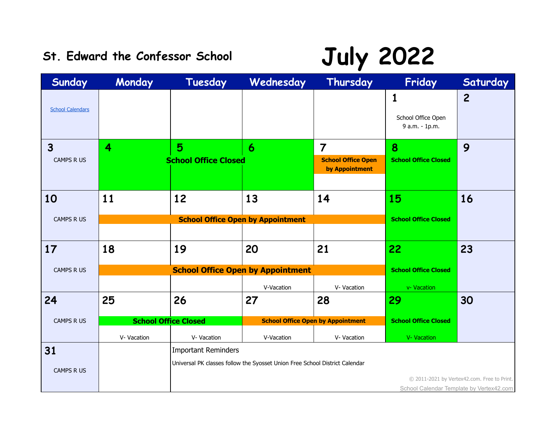## St. Edward the Confessor School **July 2022**

| Sunday                                       | Monday      | Tuesday                          | Wednesday                                                                   | Thursday                                                      | Friday                                    | Saturday                                    |
|----------------------------------------------|-------------|----------------------------------|-----------------------------------------------------------------------------|---------------------------------------------------------------|-------------------------------------------|---------------------------------------------|
| <b>School Calendars</b>                      |             |                                  |                                                                             |                                                               | 1<br>School Office Open<br>9 a.m. - 1p.m. | $\overline{c}$                              |
| $\overline{\mathbf{3}}$<br><b>CAMPS R US</b> | 4           | 5<br><b>School Office Closed</b> | 6                                                                           | $\overline{7}$<br><b>School Office Open</b><br>by Appointment | 8<br><b>School Office Closed</b>          | 9                                           |
| 10                                           | 11          | 12                               | 13                                                                          | 14                                                            | 15                                        | 16                                          |
| <b>CAMPS R US</b>                            |             |                                  | <b>School Office Open by Appointment</b>                                    |                                                               | <b>School Office Closed</b>               |                                             |
|                                              |             |                                  |                                                                             |                                                               |                                           |                                             |
| 17                                           | 18          | 19                               | 20                                                                          | 21                                                            | 22                                        | 23                                          |
| <b>CAMPS R US</b>                            |             |                                  | <b>School Office Open by Appointment</b>                                    |                                                               | <b>School Office Closed</b>               |                                             |
|                                              |             |                                  | V-Vacation                                                                  | V- Vacation                                                   | v- Vacation                               |                                             |
| 24                                           | 25          | 26                               | 27                                                                          | 28                                                            | 29                                        | 30                                          |
| <b>CAMPS R US</b>                            |             | <b>School Office Closed</b>      |                                                                             | <b>School Office Open by Appointment</b>                      | <b>School Office Closed</b>               |                                             |
|                                              | V- Vacation | V- Vacation                      | V-Vacation                                                                  | V- Vacation                                                   | V- Vacation                               |                                             |
| 31                                           |             | <b>Important Reminders</b>       |                                                                             |                                                               |                                           |                                             |
|                                              |             |                                  | Universal PK classes follow the Syosset Union Free School District Calendar |                                                               |                                           |                                             |
| <b>CAMPS R US</b>                            |             |                                  |                                                                             |                                                               |                                           | © 2011-2021 by Vertex42.com. Free to Print. |
|                                              |             |                                  |                                                                             |                                                               |                                           | School Calendar Template by Vertex42.com    |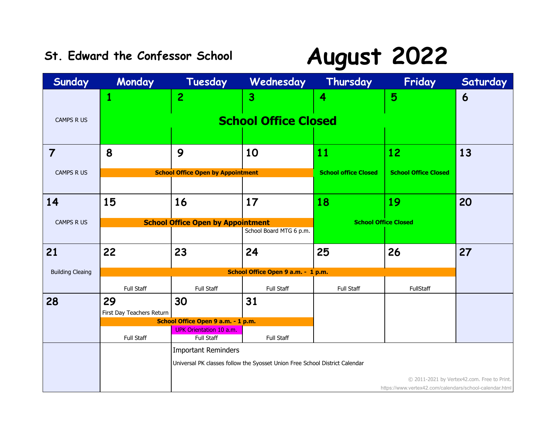### **St. Edward the Confessor School August 2022**

| Sunday                  | Monday                    | Tuesday                                             | Wednesday                                                                   | Thursday                    | Friday                                                  | Saturday                                    |
|-------------------------|---------------------------|-----------------------------------------------------|-----------------------------------------------------------------------------|-----------------------------|---------------------------------------------------------|---------------------------------------------|
|                         | $\mathbf{1}$              | $\overline{2}$                                      | 3                                                                           | 4                           | 5                                                       | $\boldsymbol{6}$                            |
|                         |                           |                                                     |                                                                             |                             |                                                         |                                             |
| <b>CAMPS R US</b>       |                           |                                                     | <b>School Office Closed</b>                                                 |                             |                                                         |                                             |
|                         |                           |                                                     |                                                                             |                             |                                                         |                                             |
| $\overline{7}$          | 8                         | 9                                                   | 10                                                                          | 11                          | 12                                                      | 13                                          |
|                         |                           |                                                     |                                                                             |                             |                                                         |                                             |
| <b>CAMPS R US</b>       |                           | <b>School Office Open by Appointment</b>            |                                                                             | <b>School office Closed</b> | <b>School Office Closed</b>                             |                                             |
|                         |                           |                                                     |                                                                             |                             |                                                         |                                             |
| 14                      | 15                        | 16                                                  | 17                                                                          | 18                          | 19                                                      | 20                                          |
| <b>CAMPS R US</b>       |                           | <b>School Office Open by Appointment</b>            | <b>School Office Closed</b>                                                 |                             |                                                         |                                             |
|                         |                           |                                                     | School Board MTG 6 p.m.                                                     |                             |                                                         |                                             |
| 21                      | 22                        | 23                                                  | 24                                                                          | 25                          | 26                                                      | 27                                          |
|                         |                           |                                                     |                                                                             |                             |                                                         |                                             |
| <b>Building Cleaing</b> |                           |                                                     | School Office Open 9 a.m. - 1 p.m.                                          |                             |                                                         |                                             |
|                         | Full Staff                | <b>Full Staff</b>                                   | Full Staff                                                                  | Full Staff                  | FullStaff                                               |                                             |
| 28                      | 29                        | 30                                                  | 31                                                                          |                             |                                                         |                                             |
|                         | First Day Teachers Return |                                                     |                                                                             |                             |                                                         |                                             |
|                         |                           | School Office Open 9 a.m. - 1 p.m.                  |                                                                             |                             |                                                         |                                             |
|                         | Full Staff                | <b>UPK Orientation 10 a.m.</b><br><b>Full Staff</b> | Full Staff                                                                  |                             |                                                         |                                             |
|                         |                           | Important Reminders                                 |                                                                             |                             |                                                         |                                             |
|                         |                           |                                                     | Universal PK classes follow the Syosset Union Free School District Calendar |                             |                                                         |                                             |
|                         |                           |                                                     |                                                                             |                             |                                                         | © 2011-2021 by Vertex42.com. Free to Print. |
|                         |                           |                                                     |                                                                             |                             | https://www.vertex42.com/calendars/school-calendar.html |                                             |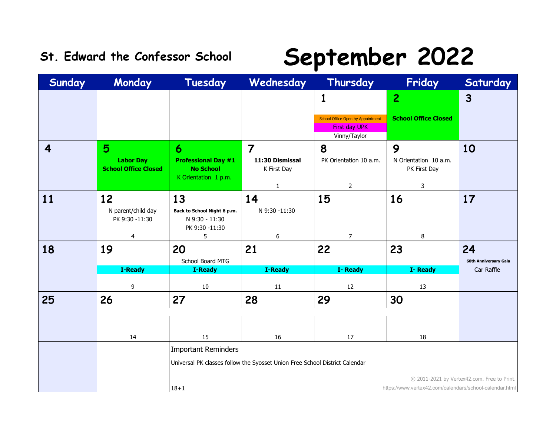### **St. Edward the Confessor School September 2022**

| Sunday                  | Monday                                          | Tuesday                                                               | Wednesday                                                                   | Thursday                                                  | Friday                                                  | Saturday                                    |
|-------------------------|-------------------------------------------------|-----------------------------------------------------------------------|-----------------------------------------------------------------------------|-----------------------------------------------------------|---------------------------------------------------------|---------------------------------------------|
|                         |                                                 |                                                                       |                                                                             | 1                                                         | $\overline{2}$                                          | $\mathbf{3}$                                |
|                         |                                                 |                                                                       |                                                                             | School Office Open by Appointment<br><b>First day UPK</b> | <b>School Office Closed</b>                             |                                             |
| $\overline{\mathbf{4}}$ | 5                                               | 6                                                                     | $\overline{7}$                                                              | Vinny/Taylor<br>8                                         | 9                                                       | 10                                          |
|                         | <b>Labor Day</b><br><b>School Office Closed</b> | <b>Professional Day #1</b><br><b>No School</b>                        | 11:30 Dismissal<br>K First Day                                              | PK Orientation 10 a.m.                                    | N Orientation 10 a.m.<br>PK First Day                   |                                             |
|                         |                                                 | K Orientation 1 p.m.                                                  | 1                                                                           | $\overline{2}$                                            | 3                                                       |                                             |
| 11                      | 12<br>N parent/child day<br>PK 9:30 -11:30      | 13<br>Back to School Night 6 p.m.<br>N 9:30 - 11:30<br>PK 9:30 -11:30 | 14<br>N 9:30 -11:30                                                         | 15                                                        | 16                                                      | 17                                          |
|                         | 4                                               | 5                                                                     | 6                                                                           | $\overline{7}$                                            | 8                                                       |                                             |
| 18                      | 19                                              | 20<br>School Board MTG                                                | 21                                                                          | 22                                                        | 23                                                      | 24<br>60th Anniversary Gala                 |
|                         | <b>I-Ready</b>                                  | <b>I-Ready</b>                                                        | <b>I-Ready</b>                                                              | I-Ready                                                   | I-Ready                                                 | Car Raffle                                  |
|                         | 9                                               | $10\,$                                                                | 11                                                                          | 12                                                        | 13                                                      |                                             |
| 25                      | 26                                              | 27                                                                    | 28                                                                          | 29                                                        | 30                                                      |                                             |
|                         | 14                                              | 15                                                                    | 16                                                                          | 17                                                        | 18                                                      |                                             |
|                         |                                                 | <b>Important Reminders</b>                                            |                                                                             |                                                           |                                                         |                                             |
|                         |                                                 |                                                                       | Universal PK classes follow the Syosset Union Free School District Calendar |                                                           |                                                         |                                             |
|                         |                                                 |                                                                       |                                                                             |                                                           |                                                         | © 2011-2021 by Vertex42.com. Free to Print. |
|                         |                                                 | $18 + 1$                                                              |                                                                             |                                                           | https://www.vertex42.com/calendars/school-calendar.html |                                             |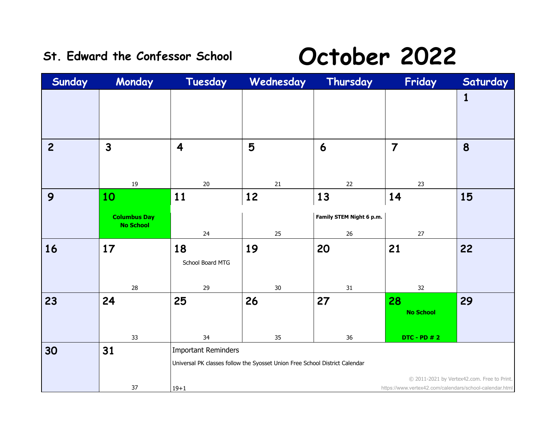### St. Edward the Confessor School **October 2022**

| Sunday         | Monday                                  | Tuesday                 | Wednesday                                                                   | Thursday                 | Friday                                                  | Saturday                                    |
|----------------|-----------------------------------------|-------------------------|-----------------------------------------------------------------------------|--------------------------|---------------------------------------------------------|---------------------------------------------|
|                |                                         |                         |                                                                             |                          |                                                         | 1                                           |
|                |                                         |                         |                                                                             |                          |                                                         |                                             |
| $\overline{c}$ | $\overline{3}$                          | $\overline{\mathbf{4}}$ | 5                                                                           | 6                        | $\overline{7}$                                          | 8                                           |
|                |                                         |                         |                                                                             |                          |                                                         |                                             |
|                | 19                                      | $20\,$                  | $21\,$                                                                      | 22                       | 23                                                      |                                             |
| 9              | 10                                      | 11                      | 12                                                                          | 13                       | 14                                                      | 15                                          |
|                |                                         |                         |                                                                             |                          |                                                         |                                             |
|                | <b>Columbus Day</b><br><b>No School</b> |                         |                                                                             | Family STEM Night 6 p.m. |                                                         |                                             |
|                |                                         | 24                      | 25                                                                          | $26\,$                   | $27\,$                                                  |                                             |
| 16             | 17                                      | 18                      | 19                                                                          | 20                       | 21                                                      | 22                                          |
|                |                                         | School Board MTG        |                                                                             |                          |                                                         |                                             |
|                | 28                                      | 29                      | $30\,$                                                                      | 31                       | 32                                                      |                                             |
| 23             | 24                                      | 25                      | 26                                                                          | 27                       | 28                                                      | 29                                          |
|                |                                         |                         |                                                                             |                          | <b>No School</b>                                        |                                             |
|                |                                         |                         |                                                                             |                          |                                                         |                                             |
|                | 33                                      | 34                      | 35                                                                          | 36                       | <b>DTC - PD # 2</b>                                     |                                             |
| 30             | 31                                      | Important Reminders     |                                                                             |                          |                                                         |                                             |
|                |                                         |                         | Universal PK classes follow the Syosset Union Free School District Calendar |                          |                                                         |                                             |
|                |                                         |                         |                                                                             |                          |                                                         |                                             |
|                |                                         |                         |                                                                             |                          |                                                         | © 2011-2021 by Vertex42.com. Free to Print. |
|                | 37                                      | $19 + 1$                |                                                                             |                          | https://www.vertex42.com/calendars/school-calendar.html |                                             |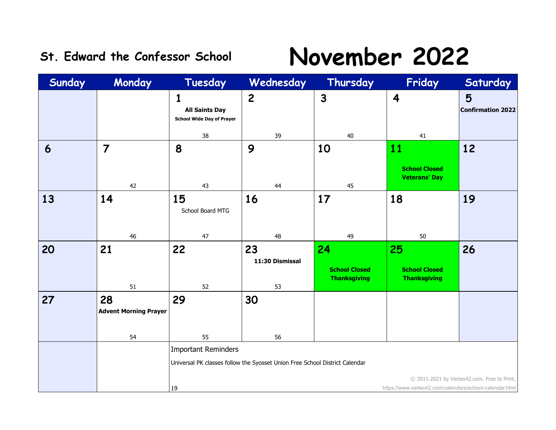### **St. Edward the Confessor School November 2022**

| Sunday | Monday                       | Tuesday                                                        | Wednesday                                                                   | Thursday                                    | Friday                                                  | Saturday                                    |
|--------|------------------------------|----------------------------------------------------------------|-----------------------------------------------------------------------------|---------------------------------------------|---------------------------------------------------------|---------------------------------------------|
|        |                              | 1<br><b>All Saints Day</b><br><b>School Wide Day of Prayer</b> | $\overline{c}$                                                              | $\mathbf{3}$                                | $\overline{\mathbf{4}}$                                 | 5<br><b>Confirmation 2022</b>               |
|        |                              | 38                                                             | 39                                                                          | 40                                          | 41                                                      |                                             |
| 6      | $\overline{7}$               | 8                                                              | 9                                                                           | 10                                          | 11                                                      | 12                                          |
|        | 42                           | 43                                                             | 44                                                                          | 45                                          | <b>School Closed</b><br><b>Veterans' Day</b>            |                                             |
| 13     | 14                           | 15<br>School Board MTG                                         | 16                                                                          | 17                                          | 18                                                      | 19                                          |
|        | 46                           | 47                                                             | 48                                                                          | 49                                          | 50                                                      |                                             |
| 20     | 21                           | 22                                                             | 23                                                                          | 24                                          | 25                                                      | 26                                          |
|        |                              |                                                                | 11:30 Dismissal                                                             | <b>School Closed</b><br><b>Thanksgiving</b> | <b>School Closed</b><br><b>Thanksgiving</b>             |                                             |
| 27     | 51<br>28                     | 52                                                             | 53<br>30                                                                    |                                             |                                                         |                                             |
|        | <b>Advent Morning Prayer</b> | 29                                                             |                                                                             |                                             |                                                         |                                             |
|        | 54                           | 55                                                             | 56                                                                          |                                             |                                                         |                                             |
|        |                              | <b>Important Reminders</b>                                     |                                                                             |                                             |                                                         |                                             |
|        |                              |                                                                | Universal PK classes follow the Syosset Union Free School District Calendar |                                             |                                                         |                                             |
|        |                              |                                                                |                                                                             |                                             |                                                         | © 2011-2021 by Vertex42.com. Free to Print. |
|        |                              | 19                                                             |                                                                             |                                             | https://www.vertex42.com/calendars/school-calendar.html |                                             |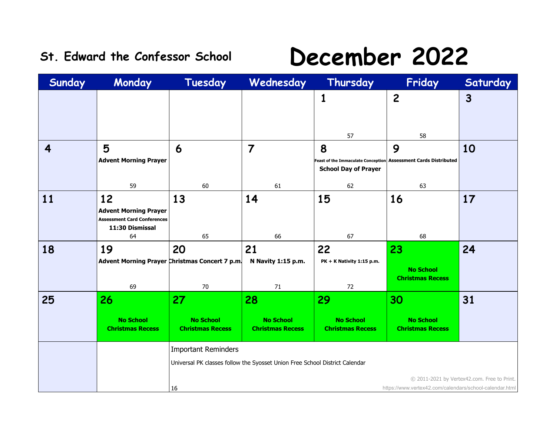### **St. Edward the Confessor School December 2022**

| Sunday | Monday                                                                                            | Tuesday                                                                                                         | Wednesday                                         | Thursday                                          | Friday                                                                     | Saturday                                    |
|--------|---------------------------------------------------------------------------------------------------|-----------------------------------------------------------------------------------------------------------------|---------------------------------------------------|---------------------------------------------------|----------------------------------------------------------------------------|---------------------------------------------|
|        |                                                                                                   |                                                                                                                 |                                                   | 1<br>57                                           | $\overline{c}$<br>58                                                       | $\mathbf{3}$                                |
| 4      | 5<br><b>Advent Morning Prayer</b><br>59                                                           | 6<br>60                                                                                                         | $\overline{7}$<br>61                              | 8<br><b>School Day of Prayer</b><br>62            | 9<br>Feast of the Immaculate Conception Assessment Cards Distributed<br>63 | 10                                          |
| 11     | 12<br><b>Advent Morning Prayer</b><br><b>Assessment Card Conferences</b><br>11:30 Dismissal<br>64 | 13<br>65                                                                                                        | 14<br>66                                          | 15<br>67                                          | 16<br>68                                                                   | 17                                          |
| 18     | 19<br>69                                                                                          | 20<br>Advent Morning Prayer Christmas Concert 7 p.m.<br>70                                                      | 21<br>N Navity 1:15 p.m.<br>71                    | 22<br>PK + K Nativity 1:15 p.m.<br>72             | 23<br><b>No School</b><br><b>Christmas Recess</b>                          | 24                                          |
| 25     | 26<br><b>No School</b><br><b>Christmas Recess</b>                                                 | 27<br><b>No School</b><br><b>Christmas Recess</b>                                                               | 28<br><b>No School</b><br><b>Christmas Recess</b> | 29<br><b>No School</b><br><b>Christmas Recess</b> | 30<br><b>No School</b><br><b>Christmas Recess</b>                          | 31                                          |
|        |                                                                                                   | <b>Important Reminders</b><br>Universal PK classes follow the Syosset Union Free School District Calendar<br>16 |                                                   |                                                   | https://www.vertex42.com/calendars/school-calendar.html                    | © 2011-2021 by Vertex42.com. Free to Print. |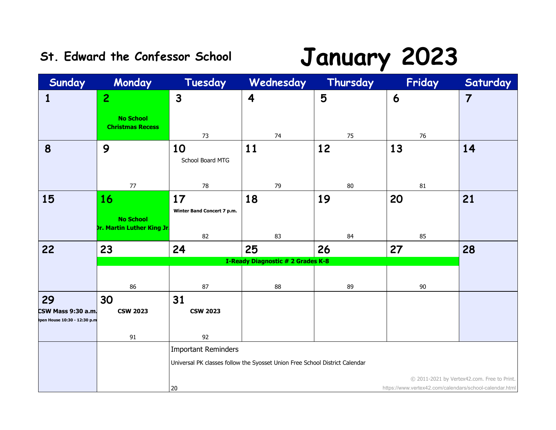## **St. Edward the Confessor School January 2023**

| Sunday                                            | Monday                                                             | Tuesday                                                                     | Wednesday                                | Thursday | Friday                                                  | Saturday                                    |  |
|---------------------------------------------------|--------------------------------------------------------------------|-----------------------------------------------------------------------------|------------------------------------------|----------|---------------------------------------------------------|---------------------------------------------|--|
| $\mathbf{1}$                                      | $\overline{2}$                                                     | $\mathbf{3}$                                                                | $\overline{\mathbf{4}}$                  | 5        | 6                                                       | $\overline{7}$                              |  |
|                                                   | <b>No School</b><br><b>Christmas Recess</b>                        | 73                                                                          | 74                                       | 75       | 76                                                      |                                             |  |
| 8                                                 | 9                                                                  | 10<br>School Board MTG                                                      | 11                                       | 12       | 13                                                      | 14                                          |  |
|                                                   | 77                                                                 | 78                                                                          | 79                                       | 80       | 81                                                      |                                             |  |
| 15                                                | <b>16</b><br><b>No School</b><br><b>Dr. Martin Luther King Jr.</b> | 17<br>Winter Band Concert 7 p.m.                                            | 18                                       | 19       | 20                                                      | 21                                          |  |
|                                                   |                                                                    | 82                                                                          | 83                                       | 84       | 85                                                      |                                             |  |
| 22                                                | 23                                                                 | 24                                                                          | 25                                       | 26       | 27                                                      | 28                                          |  |
|                                                   |                                                                    |                                                                             | <b>I-Ready Diagnostic # 2 Grades K-8</b> |          |                                                         |                                             |  |
|                                                   | 86                                                                 | 87                                                                          | 88                                       | 89       | 90                                                      |                                             |  |
| 29                                                | 30                                                                 | 31                                                                          |                                          |          |                                                         |                                             |  |
| CSW Mass 9:30 a.m.<br>pen House 10:30 - 12:30 p.m | <b>CSW 2023</b>                                                    | <b>CSW 2023</b>                                                             |                                          |          |                                                         |                                             |  |
|                                                   | 91                                                                 | 92                                                                          |                                          |          |                                                         |                                             |  |
|                                                   |                                                                    | <b>Important Reminders</b>                                                  |                                          |          |                                                         |                                             |  |
|                                                   |                                                                    | Universal PK classes follow the Syosset Union Free School District Calendar |                                          |          |                                                         |                                             |  |
|                                                   |                                                                    |                                                                             |                                          |          |                                                         | © 2011-2021 by Vertex42.com. Free to Print. |  |
|                                                   |                                                                    | 20                                                                          |                                          |          | https://www.vertex42.com/calendars/school-calendar.html |                                             |  |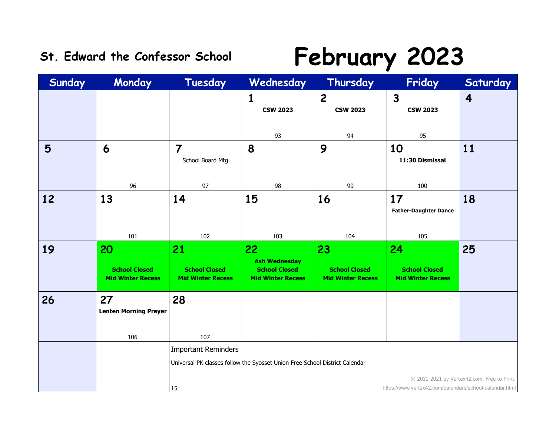## St. Edward the Confessor School **February 2023**

| Sunday | Monday                                                 | Tuesday                                                                                                                    | Wednesday                                                                      | Thursday                                               | Friday                                                  | Saturday |  |
|--------|--------------------------------------------------------|----------------------------------------------------------------------------------------------------------------------------|--------------------------------------------------------------------------------|--------------------------------------------------------|---------------------------------------------------------|----------|--|
|        |                                                        |                                                                                                                            | 1<br><b>CSW 2023</b>                                                           | $\mathbf{2}$<br><b>CSW 2023</b>                        | $\mathbf{3}$<br><b>CSW 2023</b>                         | 4        |  |
|        |                                                        |                                                                                                                            | 93                                                                             | 94                                                     | 95                                                      |          |  |
| 5      | 6                                                      | $\overline{7}$<br>School Board Mtg                                                                                         | 8                                                                              | 9                                                      | 10<br>11:30 Dismissal                                   | 11       |  |
|        | 96                                                     | 97                                                                                                                         | 98                                                                             | 99                                                     | 100                                                     |          |  |
| 12     | 13                                                     | 14                                                                                                                         | 15                                                                             | 16                                                     | 17<br><b>Father-Daughter Dance</b>                      | 18       |  |
|        | 101                                                    | 102                                                                                                                        | 103                                                                            | 104                                                    | 105                                                     |          |  |
| 19     | 20<br><b>School Closed</b><br><b>Mid Winter Recess</b> | 21<br><b>School Closed</b><br><b>Mid Winter Recess</b>                                                                     | 22<br><b>Ash Wednesday</b><br><b>School Closed</b><br><b>Mid Winter Recess</b> | 23<br><b>School Closed</b><br><b>Mid Winter Recess</b> | 24<br><b>School Closed</b><br><b>Mid Winter Recess</b>  | 25       |  |
| 26     | 27<br><b>Lenten Morning Prayer</b><br>106              | 28<br>107                                                                                                                  |                                                                                |                                                        |                                                         |          |  |
|        |                                                        | <b>Important Reminders</b>                                                                                                 |                                                                                |                                                        |                                                         |          |  |
|        |                                                        | Universal PK classes follow the Syosset Union Free School District Calendar<br>© 2011-2021 by Vertex42.com. Free to Print. |                                                                                |                                                        |                                                         |          |  |
|        |                                                        | 15                                                                                                                         |                                                                                |                                                        | https://www.vertex42.com/calendars/school-calendar.html |          |  |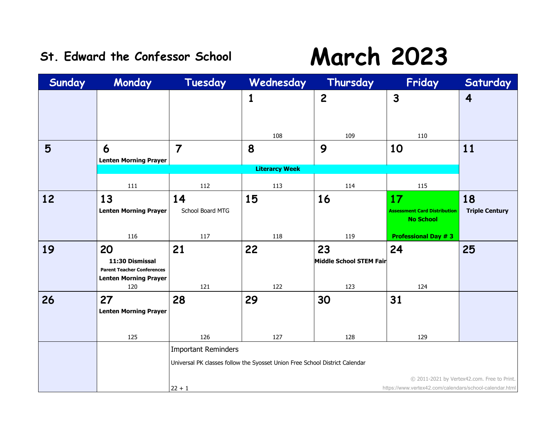## St. Edward the Confessor School **March 2023**

| Sunday | Monday                                                                                            | Tuesday                                | Wednesday                                                                   | Thursday                             | Friday                                                        | Saturday                                    |
|--------|---------------------------------------------------------------------------------------------------|----------------------------------------|-----------------------------------------------------------------------------|--------------------------------------|---------------------------------------------------------------|---------------------------------------------|
|        |                                                                                                   |                                        | 1<br>108                                                                    | $\overline{c}$<br>109                | $\mathbf{3}$<br>110                                           | $\overline{\mathbf{4}}$                     |
| 5      | 6<br><b>Lenten Morning Prayer</b>                                                                 | $\overline{7}$                         | 8                                                                           | 9                                    | 10                                                            | 11                                          |
|        |                                                                                                   |                                        | <b>Literarcy Week</b>                                                       |                                      |                                                               |                                             |
|        | 111                                                                                               | 112                                    | 113                                                                         | 114                                  | 115                                                           |                                             |
| 12     | 13<br><b>Lenten Morning Prayer</b>                                                                | 14<br>School Board MTG                 | 15                                                                          | 16                                   | 17<br><b>Assessment Card Distribution</b><br><b>No School</b> | 18<br><b>Triple Century</b>                 |
|        | 116                                                                                               | 117                                    | 118                                                                         | 119                                  | <b>Professional Day #3</b>                                    |                                             |
| 19     | 20<br>11:30 Dismissal<br><b>Parent Teacher Conferences</b><br><b>Lenten Morning Prayer</b><br>120 | 21<br>121                              | 22<br>122                                                                   | 23<br>Middle School STEM Fair<br>123 | 24<br>124                                                     | 25                                          |
| 26     | 27<br><b>Lenten Morning Prayer</b>                                                                | 28                                     | 29                                                                          | 30                                   | 31                                                            |                                             |
|        | 125                                                                                               | 126                                    | 127                                                                         | 128                                  | 129                                                           |                                             |
|        |                                                                                                   | <b>Important Reminders</b><br>$22 + 1$ | Universal PK classes follow the Syosset Union Free School District Calendar |                                      | https://www.vertex42.com/calendars/school-calendar.html       | © 2011-2021 by Vertex42.com. Free to Print. |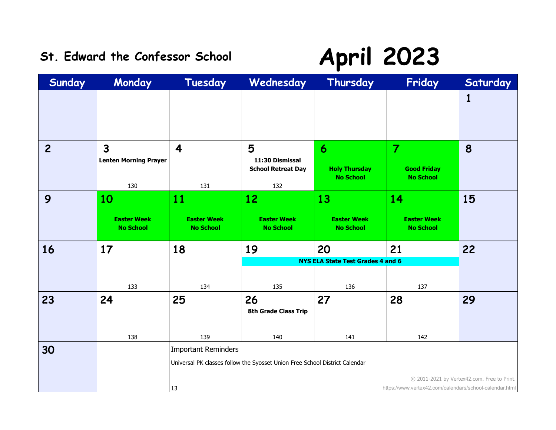### St. Edward the Confessor School **April 2023**

| Sunday         | Monday                                                | Tuesday                                      | Wednesday                                                                   | Thursday                                                     | Friday                                                   | Saturday                                    |
|----------------|-------------------------------------------------------|----------------------------------------------|-----------------------------------------------------------------------------|--------------------------------------------------------------|----------------------------------------------------------|---------------------------------------------|
|                |                                                       |                                              |                                                                             |                                                              |                                                          | 1                                           |
| $\overline{c}$ | $\overline{3}$<br><b>Lenten Morning Prayer</b><br>130 | 4<br>131                                     | 5<br>11:30 Dismissal<br><b>School Retreat Day</b><br>132                    | $\boldsymbol{6}$<br><b>Holy Thursday</b><br><b>No School</b> | $\overline{7}$<br><b>Good Friday</b><br><b>No School</b> | 8                                           |
| 9              | 10<br><b>Easter Week</b><br><b>No School</b>          | 11<br><b>Easter Week</b><br><b>No School</b> | 12<br><b>Easter Week</b><br><b>No School</b>                                | 13<br><b>Easter Week</b><br><b>No School</b>                 | 14<br><b>Easter Week</b><br><b>No School</b>             | 15                                          |
| 16             | 17                                                    | 18                                           | 19                                                                          | 20                                                           | 21                                                       | 22                                          |
|                |                                                       |                                              |                                                                             | <b>NYS ELA State Test Grades 4 and 6</b>                     |                                                          |                                             |
|                | 133                                                   | 134                                          | 135                                                                         | 136                                                          | 137                                                      |                                             |
| 23             | 24                                                    | 25                                           | 26<br><b>8th Grade Class Trip</b>                                           | 27                                                           | 28                                                       | 29                                          |
|                | 138                                                   | 139                                          | 140                                                                         | 141                                                          | 142                                                      |                                             |
| 30             |                                                       | <b>Important Reminders</b>                   |                                                                             |                                                              |                                                          |                                             |
|                |                                                       |                                              | Universal PK classes follow the Syosset Union Free School District Calendar |                                                              |                                                          |                                             |
|                |                                                       | 13                                           |                                                                             |                                                              | https://www.vertex42.com/calendars/school-calendar.html  | © 2011-2021 by Vertex42.com. Free to Print. |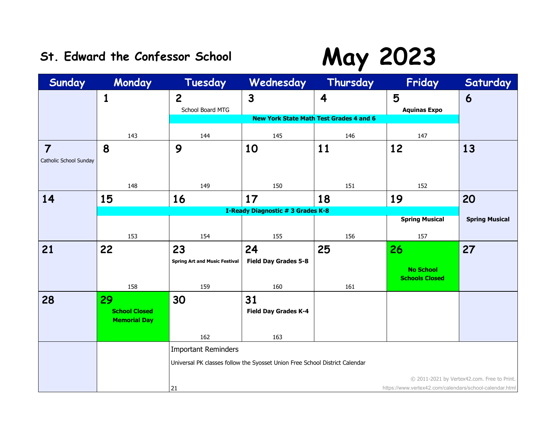## St. Edward the Confessor School **May 2023**

| Sunday                                   | Monday                                            | Tuesday                              | Wednesday                                                                   | Thursday                                                                  | Friday                                                  | Saturday                                    |
|------------------------------------------|---------------------------------------------------|--------------------------------------|-----------------------------------------------------------------------------|---------------------------------------------------------------------------|---------------------------------------------------------|---------------------------------------------|
|                                          | 1                                                 | $\overline{2}$<br>School Board MTG   | $\mathbf{3}$                                                                | $\overline{\mathbf{4}}$<br><b>New York State Math Test Grades 4 and 6</b> | 5<br><b>Aquinas Expo</b>                                | 6                                           |
|                                          | 143                                               | 144                                  | 145                                                                         | 146                                                                       | 147                                                     |                                             |
| $\overline{7}$<br>Catholic School Sunday | 8                                                 | 9                                    | 10                                                                          | 11                                                                        | 12                                                      | 13                                          |
|                                          | 148                                               | 149                                  | 150                                                                         | 151                                                                       | 152                                                     |                                             |
| 14                                       | 15                                                | 16                                   | 17                                                                          | 18                                                                        | 19                                                      | 20                                          |
|                                          |                                                   |                                      | <b>I-Ready Diagnostic # 3 Grades K-8</b>                                    |                                                                           | <b>Spring Musical</b>                                   | <b>Spring Musical</b>                       |
|                                          | 153                                               | 154                                  | 155                                                                         | 156                                                                       | 157                                                     |                                             |
| 21                                       | 22                                                | 23                                   | 24                                                                          | 25                                                                        | 26                                                      | 27                                          |
|                                          |                                                   | <b>Spring Art and Music Festival</b> | <b>Field Day Grades 5-8</b>                                                 |                                                                           | <b>No School</b><br><b>Schools Closed</b>               |                                             |
|                                          | 158                                               | 159                                  | 160                                                                         | 161                                                                       |                                                         |                                             |
| 28                                       | 29<br><b>School Closed</b><br><b>Memorial Day</b> | 30                                   | 31<br><b>Field Day Grades K-4</b>                                           |                                                                           |                                                         |                                             |
|                                          |                                                   | 162                                  | 163                                                                         |                                                                           |                                                         |                                             |
|                                          |                                                   | <b>Important Reminders</b>           |                                                                             |                                                                           |                                                         |                                             |
|                                          |                                                   |                                      | Universal PK classes follow the Syosset Union Free School District Calendar |                                                                           |                                                         |                                             |
|                                          |                                                   |                                      |                                                                             |                                                                           |                                                         | © 2011-2021 by Vertex42.com. Free to Print. |
|                                          |                                                   | 21                                   |                                                                             |                                                                           | https://www.vertex42.com/calendars/school-calendar.html |                                             |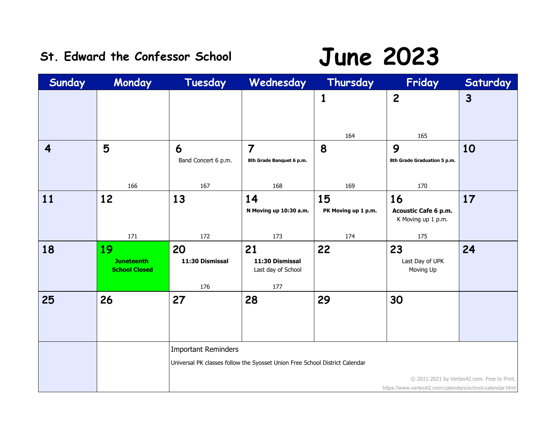### St. Edward the Confessor School **June 2023**

| Sunday | Monday                                          | Tuesday                      | Wednesday                                                                   | Thursday            | Friday                                                  | Saturday                                    |
|--------|-------------------------------------------------|------------------------------|-----------------------------------------------------------------------------|---------------------|---------------------------------------------------------|---------------------------------------------|
|        |                                                 |                              |                                                                             | 1                   | $\overline{c}$                                          | $\mathbf{3}$                                |
| 4      | 5                                               | 6<br>Band Concert 6 p.m.     | $\overline{7}$<br>8th Grade Banquet 6 p.m.                                  | 164<br>8            | 165<br>9<br>8th Grade Graduation 5 p.m.                 | 10                                          |
|        | 166                                             | 167                          | 168                                                                         | 169                 | 170                                                     |                                             |
| 11     | 12                                              | 13                           | 14                                                                          | 15                  | 16                                                      | 17                                          |
|        |                                                 |                              | N Moving up 10:30 a.m.                                                      | PK Moving up 1 p.m. | Acoustic Cafe 6 p.m.<br>K Moving up 1 p.m.              |                                             |
|        | 171                                             | 172                          | 173                                                                         | 174                 | 175                                                     |                                             |
| 18     | 19<br><b>Juneteenth</b><br><b>School Closed</b> | 20<br>11:30 Dismissal<br>176 | 21<br>11:30 Dismissal<br>Last day of School<br>177                          | 22                  | 23<br>Last Day of UPK<br>Moving Up                      | 24                                          |
| 25     | 26                                              | 27                           | 28                                                                          | 29                  | 30                                                      |                                             |
|        |                                                 | <b>Important Reminders</b>   |                                                                             |                     |                                                         |                                             |
|        |                                                 |                              | Universal PK classes follow the Syosset Union Free School District Calendar |                     |                                                         |                                             |
|        |                                                 |                              |                                                                             |                     |                                                         |                                             |
|        |                                                 |                              |                                                                             |                     | https://www.vertex42.com/calendars/school-calendar.html | © 2011-2021 by Vertex42.com. Free to Print. |
|        |                                                 |                              |                                                                             |                     |                                                         |                                             |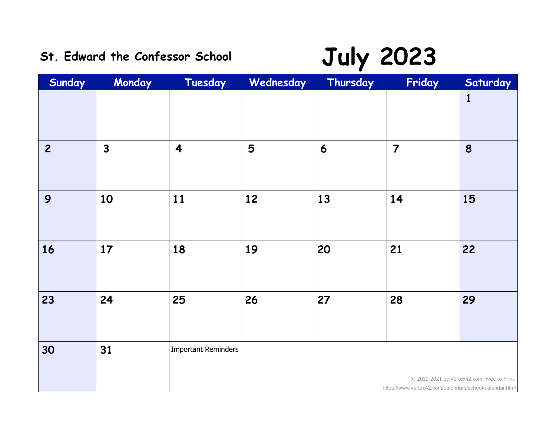# St. Edward the Confessor School **July 2023**

| Sunday         | Monday       | Tuesday                 | Wednesday | Thursday | Friday                                                  | Saturday                                    |
|----------------|--------------|-------------------------|-----------|----------|---------------------------------------------------------|---------------------------------------------|
|                |              |                         |           |          |                                                         | $\mathbf{1}$                                |
| $\overline{c}$ | $\mathbf{3}$ | $\overline{\mathbf{4}}$ | 5         | 6        | $\overline{7}$                                          | 8                                           |
| 9              | 10           | 11                      | 12        | 13       | 14                                                      | 15                                          |
| 16             | 17           | 18                      | 19        | 20       | 21                                                      | 22                                          |
| 23             | 24           | 25                      | 26        | 27       | 28                                                      | 29                                          |
| 30             | 31           | Important Reminders     |           |          | https://www.vertex42.com/calendars/school-calendar.html | C 2011-2021 by Vertex42.com. Free to Print. |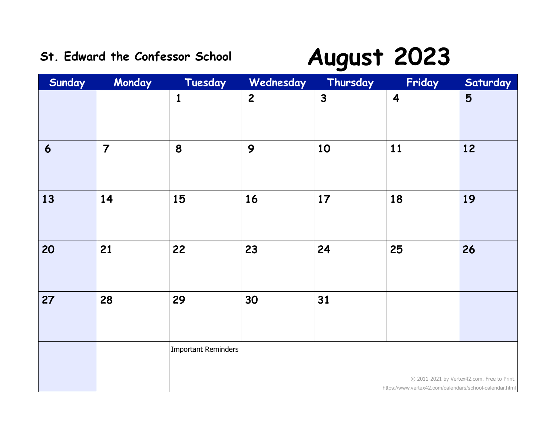### **St. Edward the Confessor School August 2023**

| Sunday | Monday         | Tuesday             | Wednesday      | Thursday     | Friday                                                  | Saturday                                    |
|--------|----------------|---------------------|----------------|--------------|---------------------------------------------------------|---------------------------------------------|
|        |                | $\mathbf{1}$        | $\overline{2}$ | $\mathbf{3}$ | $\overline{\mathbf{4}}$                                 | 5                                           |
| 6      | $\overline{7}$ | 8                   | 9              | 10           | 11                                                      | 12                                          |
| 13     | 14             | 15                  | 16             | 17           | 18                                                      | 19                                          |
| 20     | 21             | 22                  | 23             | 24           | 25                                                      | 26                                          |
| 27     | 28             | 29                  | 30             | 31           |                                                         |                                             |
|        |                | Important Reminders |                |              | https://www.vertex42.com/calendars/school-calendar.html | © 2011-2021 by Vertex42.com. Free to Print. |